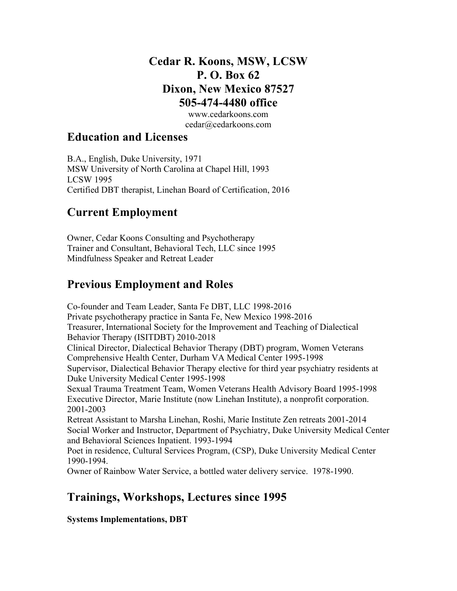## **Cedar R. Koons, MSW, LCSW P. O. Box 62 Dixon, New Mexico 87527 505-474-4480 office**

www.cedarkoons.com cedar@cedarkoons.com

### **Education and Licenses**

B.A., English, Duke University, 1971 MSW University of North Carolina at Chapel Hill, 1993 LCSW 1995 Certified DBT therapist, Linehan Board of Certification, 2016

# **Current Employment**

Owner, Cedar Koons Consulting and Psychotherapy Trainer and Consultant, Behavioral Tech, LLC since 1995 Mindfulness Speaker and Retreat Leader

# **Previous Employment and Roles**

Co-founder and Team Leader, Santa Fe DBT, LLC 1998-2016 Private psychotherapy practice in Santa Fe, New Mexico 1998-2016 Treasurer, International Society for the Improvement and Teaching of Dialectical Behavior Therapy (ISITDBT) 2010-2018 Clinical Director, Dialectical Behavior Therapy (DBT) program, Women Veterans Comprehensive Health Center, Durham VA Medical Center 1995-1998 Supervisor, Dialectical Behavior Therapy elective for third year psychiatry residents at Duke University Medical Center 1995-1998 Sexual Trauma Treatment Team, Women Veterans Health Advisory Board 1995-1998 Executive Director, Marie Institute (now Linehan Institute), a nonprofit corporation. 2001-2003 Retreat Assistant to Marsha Linehan, Roshi, Marie Institute Zen retreats 2001-2014 Social Worker and Instructor, Department of Psychiatry, Duke University Medical Center and Behavioral Sciences Inpatient. 1993-1994 Poet in residence, Cultural Services Program, (CSP), Duke University Medical Center 1990-1994. Owner of Rainbow Water Service, a bottled water delivery service. 1978-1990.

# **Trainings, Workshops, Lectures since 1995**

**Systems Implementations, DBT**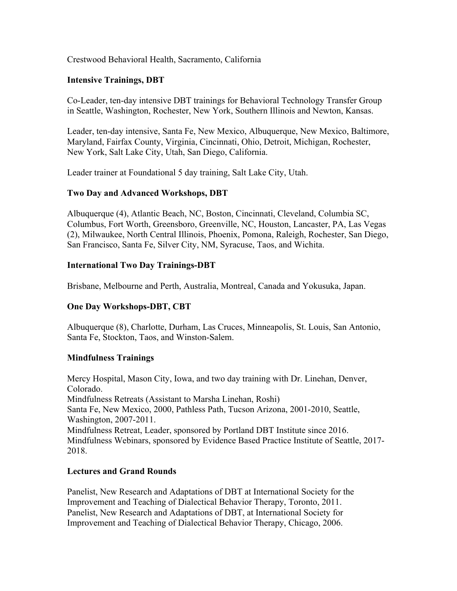#### Crestwood Behavioral Health, Sacramento, California

#### **Intensive Trainings, DBT**

Co-Leader, ten-day intensive DBT trainings for Behavioral Technology Transfer Group in Seattle, Washington, Rochester, New York, Southern Illinois and Newton, Kansas.

Leader, ten-day intensive, Santa Fe, New Mexico, Albuquerque, New Mexico, Baltimore, Maryland, Fairfax County, Virginia, Cincinnati, Ohio, Detroit, Michigan, Rochester, New York, Salt Lake City, Utah, San Diego, California.

Leader trainer at Foundational 5 day training, Salt Lake City, Utah.

#### **Two Day and Advanced Workshops, DBT**

Albuquerque (4), Atlantic Beach, NC, Boston, Cincinnati, Cleveland, Columbia SC, Columbus, Fort Worth, Greensboro, Greenville, NC, Houston, Lancaster, PA, Las Vegas (2), Milwaukee, North Central Illinois, Phoenix, Pomona, Raleigh, Rochester, San Diego, San Francisco, Santa Fe, Silver City, NM, Syracuse, Taos, and Wichita.

#### **International Two Day Trainings-DBT**

Brisbane, Melbourne and Perth, Australia, Montreal, Canada and Yokusuka, Japan.

#### **One Day Workshops-DBT, CBT**

Albuquerque (8), Charlotte, Durham, Las Cruces, Minneapolis, St. Louis, San Antonio, Santa Fe, Stockton, Taos, and Winston-Salem.

#### **Mindfulness Trainings**

Mercy Hospital, Mason City, Iowa, and two day training with Dr. Linehan, Denver, Colorado. Mindfulness Retreats (Assistant to Marsha Linehan, Roshi) Santa Fe, New Mexico, 2000, Pathless Path, Tucson Arizona, 2001-2010, Seattle, Washington, 2007-2011. Mindfulness Retreat, Leader, sponsored by Portland DBT Institute since 2016. Mindfulness Webinars, sponsored by Evidence Based Practice Institute of Seattle, 2017- 2018.

#### **Lectures and Grand Rounds**

Panelist, New Research and Adaptations of DBT at International Society for the Improvement and Teaching of Dialectical Behavior Therapy, Toronto, 2011. Panelist, New Research and Adaptations of DBT, at International Society for Improvement and Teaching of Dialectical Behavior Therapy, Chicago, 2006.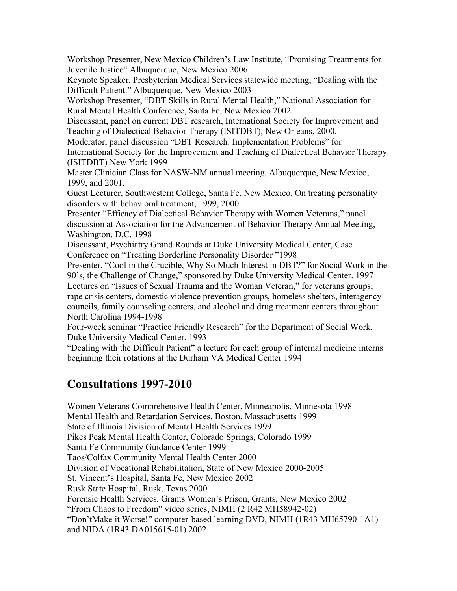Workshop Presenter, New Mexico Children's Law Institute, "Promising Treatments for Juvenile Justice" Albuquerque, New Mexico 2006

Keynote Speaker, Presbyterian Medical Services statewide meeting, "Dealing with the Difficult Patient." Albuquerque, New Mexico 2003

Workshop Presenter, "DBT Skills in Rural Mental Health," National Association for Rural Mental Health Conference, Santa Fe, New Mexico 2002

Discussant, panel on current DBT research, International Society for Improvement and Teaching of Dialectical Behavior Therapy (ISITDBT), New Orleans, 2000.

Moderator, panel discussion "DBT Research: Implementation Problems" for International Society for the Improvement and Teaching of Dialectical Behavior Therapy (ISITDBT) New York 1999

Master Clinician Class for NASW-NM annual meeting, Albuquerque, New Mexico, 1999, and 2001.

Guest Lecturer, Southwestern College, Santa Fe, New Mexico, On treating personality disorders with behavioral treatment, 1999, 2000.

Presenter "Efficacy of Dialectical Behavior Therapy with Women Veterans," panel discussion at Association for the Advancement of Behavior Therapy Annual Meeting, Washington, D.C. 1998

Discussant, Psychiatry Grand Rounds at Duke University Medical Center, Case Conference on "Treating Borderline Personality Disorder "1998

Presenter, "Cool in the Crucible, Why So Much Interest in DBT?" for Social Work in the 90's, the Challenge of Change," sponsored by Duke University Medical Center. 1997 Lectures on "Issues of Sexual Trauma and the Woman Veteran," for veterans groups, rape crisis centers, domestic violence prevention groups, homeless shelters, interagency councils, family counseling centers, and alcohol and drug treatment centers throughout North Carolina 1994-1998

Four-week seminar "Practice Friendly Research" for the Department of Social Work, Duke University Medical Center. 1993

"Dealing with the Difficult Patient" a lecture for each group of internal medicine interns beginning their rotations at the Durham VA Medical Center 1994

### **Consultations 1997-2010**

Women Veterans Comprehensive Health Center, Minneapolis, Minnesota 1998 Mental Health and Retardation Services, Boston, Massachusetts 1999 State of Illinois Division of Mental Health Services 1999 Pikes Peak Mental Health Center, Colorado Springs, Colorado 1999 Santa Fe Community Guidance Center 1999 Taos/Colfax Community Mental Health Center 2000 Division of Vocational Rehabilitation, State of New Mexico 2000-2005 St. Vincent's Hospital, Santa Fe, New Mexico 2002 Rusk State Hospital, Rusk, Texas 2000 Forensic Health Services, Grants Women's Prison, Grants, New Mexico 2002 "From Chaos to Freedom" video series, NIMH (2 R42 MH58942-02) "Don'tMake it Worse!" computer-based learning DVD, NIMH (1R43 MH65790-1A1) and NIDA (1R43 DA015615-01) 2002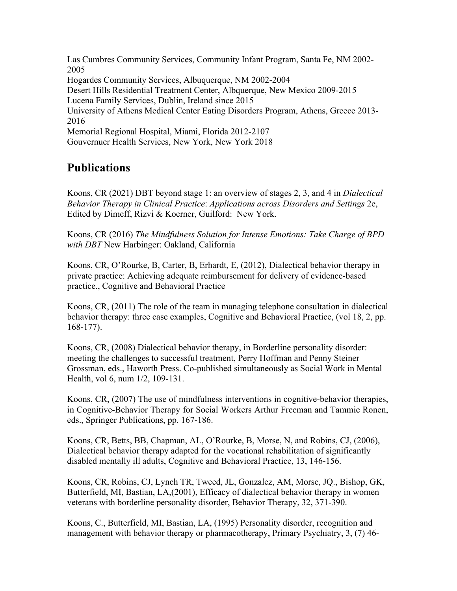Las Cumbres Community Services, Community Infant Program, Santa Fe, NM 2002- 2005 Hogardes Community Services, Albuquerque, NM 2002-2004 Desert Hills Residential Treatment Center, Albquerque, New Mexico 2009-2015 Lucena Family Services, Dublin, Ireland since 2015 University of Athens Medical Center Eating Disorders Program, Athens, Greece 2013- 2016 Memorial Regional Hospital, Miami, Florida 2012-2107 Gouvernuer Health Services, New York, New York 2018

## **Publications**

Koons, CR (2021) DBT beyond stage 1: an overview of stages 2, 3, and 4 in *Dialectical Behavior Therapy in Clinical Practice*: *Applications across Disorders and Settings* 2e, Edited by Dimeff, Rizvi & Koerner, Guilford: New York.

Koons, CR (2016) *The Mindfulness Solution for Intense Emotions: Take Charge of BPD with DBT* New Harbinger: Oakland, California

Koons, CR, O'Rourke, B, Carter, B, Erhardt, E, (2012), Dialectical behavior therapy in private practice: Achieving adequate reimbursement for delivery of evidence-based practice., Cognitive and Behavioral Practice

Koons, CR, (2011) The role of the team in managing telephone consultation in dialectical behavior therapy: three case examples, Cognitive and Behavioral Practice, (vol 18, 2, pp. 168-177).

Koons, CR, (2008) Dialectical behavior therapy, in Borderline personality disorder: meeting the challenges to successful treatment, Perry Hoffman and Penny Steiner Grossman, eds., Haworth Press. Co-published simultaneously as Social Work in Mental Health, vol 6, num 1/2, 109-131.

Koons, CR, (2007) The use of mindfulness interventions in cognitive-behavior therapies, in Cognitive-Behavior Therapy for Social Workers Arthur Freeman and Tammie Ronen, eds., Springer Publications, pp. 167-186.

Koons, CR, Betts, BB, Chapman, AL, O'Rourke, B, Morse, N, and Robins, CJ, (2006), Dialectical behavior therapy adapted for the vocational rehabilitation of significantly disabled mentally ill adults, Cognitive and Behavioral Practice, 13, 146-156.

Koons, CR, Robins, CJ, Lynch TR, Tweed, JL, Gonzalez, AM, Morse, JQ., Bishop, GK, Butterfield, MI, Bastian, LA,(2001), Efficacy of dialectical behavior therapy in women veterans with borderline personality disorder, Behavior Therapy, 32, 371-390.

Koons, C., Butterfield, MI, Bastian, LA, (1995) Personality disorder, recognition and management with behavior therapy or pharmacotherapy, Primary Psychiatry, 3, (7) 46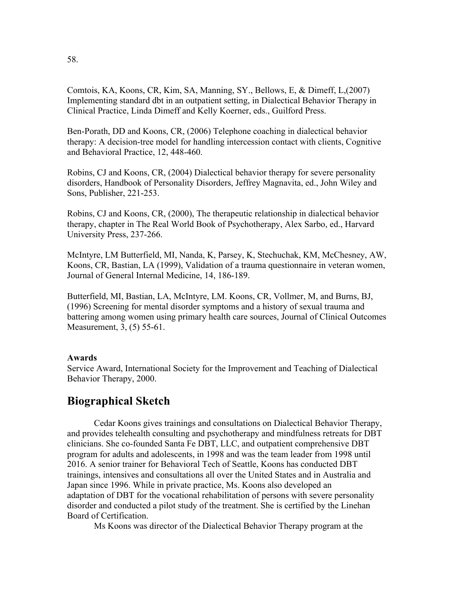Comtois, KA, Koons, CR, Kim, SA, Manning, SY., Bellows, E, & Dimeff, L,(2007) Implementing standard dbt in an outpatient setting, in Dialectical Behavior Therapy in Clinical Practice, Linda Dimeff and Kelly Koerner, eds., Guilford Press.

Ben-Porath, DD and Koons, CR, (2006) Telephone coaching in dialectical behavior therapy: A decision-tree model for handling intercession contact with clients, Cognitive and Behavioral Practice, 12, 448-460.

Robins, CJ and Koons, CR, (2004) Dialectical behavior therapy for severe personality disorders, Handbook of Personality Disorders, Jeffrey Magnavita, ed., John Wiley and Sons, Publisher, 221-253.

Robins, CJ and Koons, CR, (2000), The therapeutic relationship in dialectical behavior therapy, chapter in The Real World Book of Psychotherapy, Alex Sarbo, ed., Harvard University Press, 237-266.

McIntyre, LM Butterfield, MI, Nanda, K, Parsey, K, Stechuchak, KM, McChesney, AW, Koons, CR, Bastian, LA (1999), Validation of a trauma questionnaire in veteran women, Journal of General Internal Medicine, 14, 186-189.

Butterfield, MI, Bastian, LA, McIntyre, LM. Koons, CR, Vollmer, M, and Burns, BJ, (1996) Screening for mental disorder symptoms and a history of sexual trauma and battering among women using primary health care sources, Journal of Clinical Outcomes Measurement, 3, (5) 55-61.

#### **Awards**

Service Award, International Society for the Improvement and Teaching of Dialectical Behavior Therapy, 2000.

### **Biographical Sketch**

Cedar Koons gives trainings and consultations on Dialectical Behavior Therapy, and provides telehealth consulting and psychotherapy and mindfulness retreats for DBT clinicians. She co-founded Santa Fe DBT, LLC, and outpatient comprehensive DBT program for adults and adolescents, in 1998 and was the team leader from 1998 until 2016. A senior trainer for Behavioral Tech of Seattle, Koons has conducted DBT trainings, intensives and consultations all over the United States and in Australia and Japan since 1996. While in private practice, Ms. Koons also developed an adaptation of DBT for the vocational rehabilitation of persons with severe personality disorder and conducted a pilot study of the treatment. She is certified by the Linehan Board of Certification.

Ms Koons was director of the Dialectical Behavior Therapy program at the